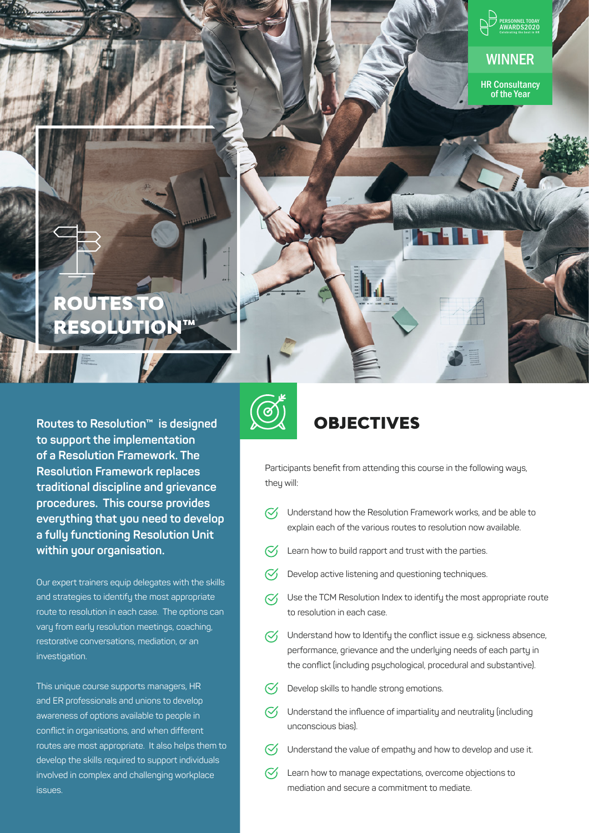

#### **Routes to Resolution™ is designed to support the implementation of a Resolution Framework. The Resolution Framework replaces traditional discipline and grievance procedures. This course provides everything that you need to develop a fully functioning Resolution Unit within your organisation.**

Our expert trainers equip delegates with the skills and strategies to identify the most appropriate route to resolution in each case. The options can vary from early resolution meetings, coaching, restorative conversations, mediation, or an investigation.

This unique course supports managers, HR and ER professionals and unions to develop awareness of options available to people in conflict in organisations, and when different routes are most appropriate. It also helps them to develop the skills required to support individuals involved in complex and challenging workplace issues.



### **OBJECTIVES**

Participants benefit from attending this course in the following ways, they will:

- $\heartsuit$  Understand how the Resolution Framework works, and be able to explain each of the various routes to resolution now available.
- Learn how to build rapport and trust with the parties.  $\mathcal{C}'$
- Develop active listening and questioning techniques.  $\mathcal{C}'$
- $\mathcal{Q}_1$  Use the TCM Resolution Index to identify the most appropriate route to resolution in each case.
- $\heartsuit$  Understand how to Identify the conflict issue e.g. sickness absence, performance, grievance and the underlying needs of each party in the conflict (including psychological, procedural and substantive).
- $\mathcal{C}'$ Develop skills to handle strong emotions.
- $\heartsuit$  Understand the influence of impartiality and neutrality (including unconscious bias).
- $\mathcal{C}_1$ Understand the value of empathy and how to develop and use it.
- $\oslash$ Learn how to manage expectations, overcome objections to mediation and secure a commitment to mediate.